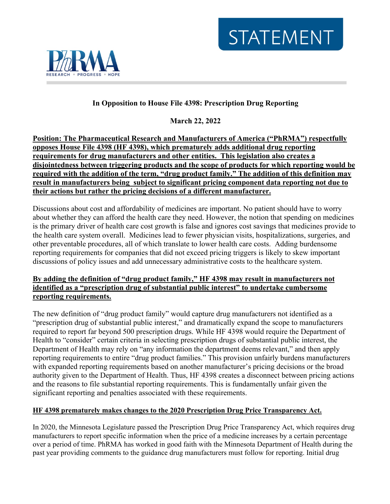



# **In Opposition to House File 4398: Prescription Drug Reporting**

**March 22, 2022**

**Position: The Pharmaceutical Research and Manufacturers of America ("PhRMA") respectfully opposes House File 4398 (HF 4398), which prematurely adds additional drug reporting requirements for drug manufacturers and other entities. This legislation also creates a disjointedness between triggering products and the scope of products for which reporting would be required with the addition of the term, "drug product family." The addition of this definition may result in manufacturers being subject to significant pricing component data reporting not due to their actions but rather the pricing decisions of a different manufacturer.** 

Discussions about cost and affordability of medicines are important. No patient should have to worry about whether they can afford the health care they need. However, the notion that spending on medicines is the primary driver of health care cost growth is false and ignores cost savings that medicines provide to the health care system overall. Medicines lead to fewer physician visits, hospitalizations, surgeries, and other preventable procedures, all of which translate to lower health care costs. Adding burdensome reporting requirements for companies that did not exceed pricing triggers is likely to skew important discussions of policy issues and add unnecessary administrative costs to the healthcare system.

## **By adding the definition of "drug product family," HF 4398 may result in manufacturers not identified as a "prescription drug of substantial public interest" to undertake cumbersome reporting requirements.**

The new definition of "drug product family" would capture drug manufacturers not identified as a "prescription drug of substantial public interest," and dramatically expand the scope to manufacturers required to report far beyond 500 prescription drugs. While HF 4398 would require the Department of Health to "consider" certain criteria in selecting prescription drugs of substantial public interest, the Department of Health may rely on "any information the department deems relevant," and then apply reporting requirements to entire "drug product families." This provision unfairly burdens manufacturers with expanded reporting requirements based on another manufacturer's pricing decisions or the broad authority given to the Department of Health. Thus, HF 4398 creates a disconnect between pricing actions and the reasons to file substantial reporting requirements. This is fundamentally unfair given the significant reporting and penalties associated with these requirements.

#### **HF 4398 prematurely makes changes to the 2020 Prescription Drug Price Transparency Act.**

In 2020, the Minnesota Legislature passed the Prescription Drug Price Transparency Act, which requires drug manufacturers to report specific information when the price of a medicine increases by a certain percentage over a period of time. PhRMA has worked in good faith with the Minnesota Department of Health during the past year providing comments to the guidance drug manufacturers must follow for reporting. Initial drug